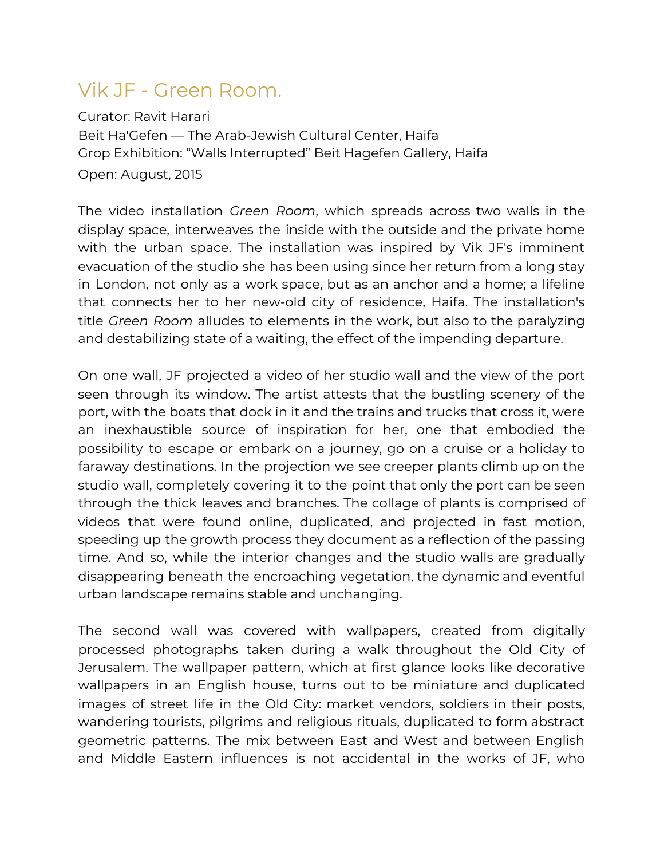## Vik JF - Green Room.

Curator: Ravit Harari Beit Ha'Gefen — The Arab-Jewish Cultural Center, Haifa Grop Exhibition: "Walls Interrupted" Beit Hagefen Gallery, Haifa Open: August, 2015

The video installation *Green Room*, which spreads across two walls in the display space, interweaves the inside with the outside and the private home with the urban space. The installation was inspired by Vik JF's imminent evacuation of the studio she has been using since her return from a long stay in London, not only as a work space, but as an anchor and a home; a lifeline that connects her to her new-old city of residence, Haifa. The installation's title *Green Room* alludes to elements in the work, but also to the paralyzing and destabilizing state of a waiting, the effect of the impending departure.

On one wall, JF projected a video of her studio wall and the view of the port seen through its window. The artist attests that the bustling scenery of the port, with the boats that dock in it and the trains and trucks that cross it, were an inexhaustible source of inspiration for her, one that embodied the possibility to escape or embark on a journey, go on a cruise or a holiday to faraway destinations. In the projection we see creeper plants climb up on the studio wall, completely covering it to the point that only the port can be seen through the thick leaves and branches. The collage of plants is comprised of videos that were found online, duplicated, and projected in fast motion, speeding up the growth process they document as a reflection of the passing time. And so, while the interior changes and the studio walls are gradually disappearing beneath the encroaching vegetation, the dynamic and eventful urban landscape remains stable and unchanging.

The second wall was covered with wallpapers, created from digitally processed photographs taken during a walk throughout the Old City of Jerusalem. The wallpaper pattern, which at first glance looks like decorative wallpapers in an English house, turns out to be miniature and duplicated images of street life in the Old City: market vendors, soldiers in their posts, wandering tourists, pilgrims and religious rituals, duplicated to form abstract geometric patterns. The mix between East and West and between English and Middle Eastern influences is not accidental in the works of JF, who